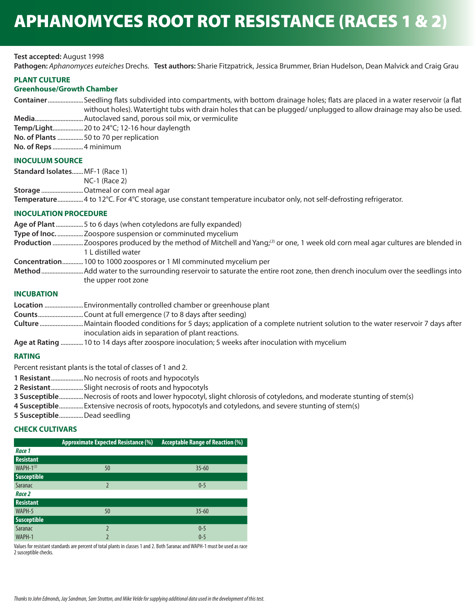### **Test accepted:** August 1998

**Pathogen:** *Aphanomyces euteiches* Drechs. **Test authors:** Sharie Fitzpatrick, Jessica Brummer, Brian Hudelson, Dean Malvick and Craig Grau

#### **PLANT CULTURE**

# **Greenhouse/Growth Chamber**

| ContainerSeedling flats subdivided into compartments, with bottom drainage holes; flats are placed in a water reservoir (a flat |
|---------------------------------------------------------------------------------------------------------------------------------|
| without holes). Watertight tubs with drain holes that can be plugged/ unplugged to allow drainage may also be used.             |
|                                                                                                                                 |
|                                                                                                                                 |
| No. of Plants 50 to 70 per replication                                                                                          |

**No. of Reps** ...................4 minimum

## **INOCULUM SOURCE**

| Standard IsolatesMF-1 (Race 1) |                                                                                                                    |
|--------------------------------|--------------------------------------------------------------------------------------------------------------------|
|                                | $NC-1$ (Race 2)                                                                                                    |
|                                | <b>Storage</b> Oatmeal or corn meal agar                                                                           |
|                                | Temperature 4 to 12°C. For 4°C storage, use constant temperature incubator only, not self-defrosting refrigerator. |

### **INOCULATION PROCEDURE**

| Age of Plant 5 to 6 days (when cotyledons are fully expanded) |  |  |  |
|---------------------------------------------------------------|--|--|--|
|---------------------------------------------------------------|--|--|--|

- **Type of Inoc.** ................Zoospore suspension or comminuted mycelium
- **Production** ...................Zoospores produced by the method of Mitchell and Yang;(*<sup>3</sup>*) or one, 1 week old corn meal agar cultures are blended in 1 L distilled water
- **Concentration** .............100 to 1000 zoospores or 1 Ml comminuted mycelium per
- **Method** ..........................Add water to the surrounding reservoir to saturate the entire root zone, then drench inoculum over the seedlings into the upper root zone

## **INCUBATION**

|          | <b>Location</b> Environmentally controlled chamber or greenhouse plant                                                                 |
|----------|----------------------------------------------------------------------------------------------------------------------------------------|
|          |                                                                                                                                        |
|          | <b>Culture</b> Maintain flooded conditions for 5 days; application of a complete nutrient solution to the water reservoir 7 days after |
|          | inoculation aids in separation of plant reactions.                                                                                     |
| $A = -1$ | 10 kg 14 kg ang afkangang ang tina ang lating. En naglig afkan tina ang lating nutik na nagliman                                       |

**Age at Rating** ..............10 to 14 days after zoospore inoculation; 5 weeks after inoculation with mycelium

### **RATING**

Percent resistant plants is the total of classes of 1 and 2.

- **1 Resistant** ....................No necrosis of roots and hypocotyls
- **2 Resistant** ....................Slight necrosis of roots and hypocotyls
- **3 Susceptible** ...............Necrosis of roots and lower hypocotyl, slight chlorosis of cotyledons, and moderate stunting of stem(s)
- **4 Susceptible** ...............Extensive necrosis of roots, hypocotyls and cotyledons, and severe stunting of stem(s)
- **5 Susceptible** ...............Dead seedling

# **CHECK CULTIVARS**

|                    | <b>Approximate Expected Resistance (%)</b> | Acceptable Range of Reaction (%) |
|--------------------|--------------------------------------------|----------------------------------|
| Race 1             |                                            |                                  |
| <b>Resistant</b>   |                                            |                                  |
| WAPH- $1^{(1)}$    | 50                                         | $35 - 60$                        |
| <b>Susceptible</b> |                                            |                                  |
| Saranac            | $\overline{\phantom{a}}$                   | $0 - 5$                          |
| Race 2             |                                            |                                  |
| <b>Resistant</b>   |                                            |                                  |
| WAPH-5             | 50                                         | $35 - 60$                        |
| <b>Susceptible</b> |                                            |                                  |
| Saranac            | 2                                          | $0 - 5$                          |
| WAPH-1             |                                            | $0 - 5$                          |

Values for resistant standards are percent of total plants in classes 1 and 2. Both Saranac and WAPH-1 must be used as race 2 susceptible checks.